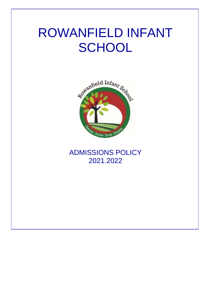# ROWANFIELD INFANT **SCHOOL**



## ADMISSIONS POLICY 2021.2022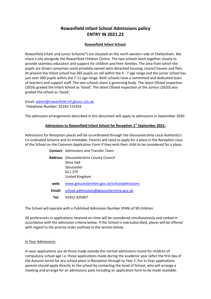### **Rowanfield Infant School Admissions policy ENTRY IN 2021.22**

#### **Rowanfield Infant School:**

Rowanfield Infant and Junior Schools(\*) are situated on the north western side of Cheltenham. We share a site alongside the Rowanfield Children Centre. The two schools work together closely to provide seamless education and support for children and their families. The area from which the pupils are drawn comprises some privately owned semi-detached housing, council houses and flats. At present the Infant school has 265 pupils on roll within the 4 - 7 age range and the junior school has just over 300 pupils within the 7-11 age range. Both schools have a committed and dedicated team of teachers and support staff. The two schools share a governing body. The latest Ofsted inspection (2016) graded the Infant School as 'Good'. The latest Ofsted inspection at the Juniors (2020) also graded the school as 'Good.'

Email: [admin@rowanfield-inf.gloucs.sch.uk](mailto:admin@rowanfield-inf.gloucs.sch.uk) Telephone Number: 01242 515334

The admission arrangements described in this document will apply to admissions in September 2020.

#### **Admissions to Rowanfield Infant School for Reception 1 st September 2021:**

Admissions for Reception places will be co-ordinated through the Gloucestershire Local Authority's Co-ordinated Scheme and its timetable. Parents will need to apply for a place in the Reception class of the School on the Common Application Form if they wish their child to be considered for a place.

|        | <b>Contact:</b> Admissions and Transfer Team                                                            |
|--------|---------------------------------------------------------------------------------------------------------|
|        | <b>Address:</b> Gloucestershire County Council<br>Shire Hall<br>Gloucester<br>GL1 2TP<br>United Kingdom |
| web:   | www.gloucestershire.gov.uk/schooladmissions                                                             |
| Email: | school.admissions@gloucestershire.gov.uk                                                                |
| Tel: T | 01452 425407                                                                                            |

The School will operate with a Published Admission Number (PAN) of 90 children.

All preferences in applications received on-time will be considered simultaneously and ranked in accordance with the admission criteria below. If the School is oversubscribed, places will be offered with regard to the priority order outlined in the section below.

#### In Year Admissions:

In-year applications are all those made outside the normal admissions round for children of compulsory school age i.e. those applications made during the academic year (after the first day of the Autumn term) for any school place in Reception through to Year 2. For In-Year applications parents should apply directly to the school by contacting the head of School, who will arrange a meeting and arrange for an admissions pack including an application form to be made available.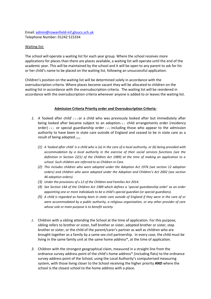#### Email: [admin@rowanfield-inf.gloucs.sch.uk](mailto:admin@rowanfield-inf.gloucs.sch.uk) Telephone Number: 01242 515334

#### Waiting list:

The school will operate a waiting list for each year group. Where the school receives more applications for places than there are places available, a waiting list will operate until the end of the academic year. This will be maintained by the school and it will be open to any parent to ask for his or her child's name to be placed on the waiting list, following an unsuccessful application.

Children's position on the waiting list will be determined solely in accordance with the oversubscription criteria. Where places become vacant they will be allocated to children on the waiting list in accordance with the oversubscription criteria. The waiting list will be reordered in accordance with the oversubscription criteria whenever anyone is added to or leaves the waiting list.

#### **Admission Criteria Priority order and Oversubscription Criteria:**

- *1. A '*looked after child' *( 1 )* or a child who was previously looked after but immediately after being looked after became subject to an adoption*( 2 )* child arrangements order (residency order) *( 3 )* or special guardianship order *( 4 )* including those who appear to the admission authority to have been in state care outside of England and ceased to be in state care as a result of being adopted *( 5 )*.
	- *(1) A 'looked after child' is a child who is (a) in the care of a local authority, or (b) being provided with accommodation by a local authority in the exercise of their social services functions (see the definition in Section 22(1) of the Children Act 1989) at the time of making an application to a school. Such children are referred to as Children in Care.*
	- *(2) This includes children who were adopted under the Adoption Act 1976 (see section 12 adoption orders) and children who were adopted under the Adoption and Children's Act 2002 (see section 46 adoption orders).*
	- *(3) Under the provisions of s.12 of the Children and Families Act 2014.*
	- *(4) See Section 14A of the Children Act 1989 which defines a 'special guardianship order' as an order appointing one or more individuals to be a child's special guardian (or special guardians).*
	- *(5) A child is regarded as having been in state care outside of England if they were in the care of or were accommodated by a public authority, a religious organisation, or any other provider of care whose sole or main purpose is to benefit society.*
- *2.* Children with a sibling attending the School at the time of application. For this purpose, sibling refers to brother or sister, half brother or sister, adopted brother or sister, step brother or sister, or the child of the parent/carer's partner as well as children who are brought together as a family by a same sex civil partnership. In every case, the child must be living in the same family unit at the same home address\*, at the time of application.
- *3.* Children with the strongest geographical claim, measured in a straight line from the ordnance survey address point of the child's home address\* (including flats) to the ordnance survey address point of the School, using the Local Authority's computerised measuring system, with those living closer to the School receiving the higher priority **AND** where the school is the closest school to the home address with a place.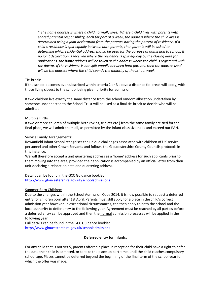\* *The home address is where a child normally lives. Where a child lives with parents with shared parental responsibility, each for part of a week, the address where the child lives is determined using a joint declaration from the parents stating the pattern of residence. If a child's residence is split equally between both parents, then parents will be asked to determine which residential address should be used for the purpose of admission to school. If no joint declaration is received where the residence is split equally by the closing date for applications, the home address will be taken as the address where the child is registered with the doctor. If the residence is not split equally between both parents, then the address used will be the address where the child spends the majority of the school week.*

#### Tie-break:

If the school becomes oversubscribed within criteria 2 or 3 above a distance tie-break will apply, with those living closest to the school being given priority for admission.

If two children live exactly the same distance from the school random allocation undertaken by someone unconnected to the School Trust will be used as a final tie-break to decide who will be admitted.

#### Multiple Births:

If two or more children of multiple birth (twins, triplets etc.) from the same family are tied for the final place, we will admit them all, as permitted by the infant class size rules and exceed our PAN.

#### Service Family Arrangements:

Rowanfield Infant School recognises the unique challenges associated with children of UK service personnel and other Crown Servants and follows the Gloucestershire County Councils protocols in this instance.

We will therefore accept a unit quartering address as a 'home' address for such applicants prior to them moving into the area, provided their application is accompanied by an official letter from their unit declaring a relocation date and quartering address.

Details can be found in the GCC Guidance booklet <http://www.gloucestershire.gov.uk/schooladmissions>

#### Summer Born Children:

Due to the changes within the School Admission Code 2014, it is now possible to request a deferred entry for children born after 1st April. Parents must still apply for a place in the child's correct admission year however, in exceptional circumstances, can then apply to both the school and the local authority to defer entry to the following year. Agreement must be reached by all parties before a deferred entry can be approved and then the normal admission processes will be applied in the following year.

Full details can be found in the GCC Guidance booklet <http://www.gloucestershire.gov.uk/schooladmissions>

#### **Deferred entry for Infants:**

For any child that is not yet 5, parents offered a place in reception for their child have a right to defer the date their child is admitted, or to take the place up part-time, until the child reaches compulsory school age. Places cannot be deferred beyond the beginning of the final term of the school year for which the offer was made.